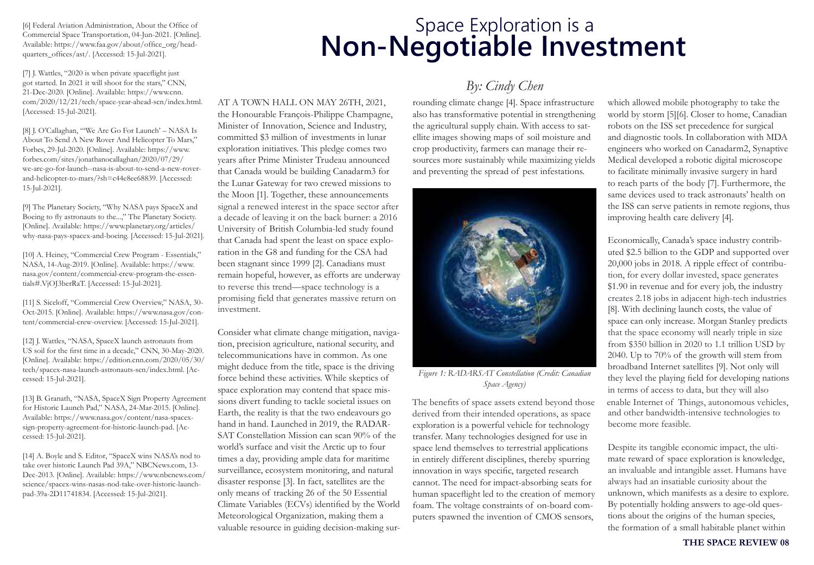[6] Federal Aviation Administration, About the Office of Commercial Space Transportation, 04-Jun-2021. [Online]. Available: https://www.faa.gov/about/office\_org/headquarters\_offices/ast/. [Accessed: 15-Jul-2021].

[7] J. Wattles, "2020 is when private spaceflight just got started. In 2021 it will shoot for the stars," CNN, 21-Dec-2020. [Online]. Available: https://www.cnn. com/2020/12/21/tech/space-year-ahead-scn/index.html. [Accessed: 15-Jul-2021].

[8] J. O'Callaghan, "'We Are Go For Launch' – NASA Is About To Send A New Rover And Helicopter To Mars," Forbes, 29-Jul-2020. [Online]. Available: https://www. forbes.com/sites/jonathanocallaghan/2020/07/29/ we-are-go-for-launch--nasa-is-about-to-send-a-new-roverand-helicopter-to-mars/?sh=c44e8ee68839. [Accessed: 15-Jul-2021].

[9] The Planetary Society, "Why NASA pays SpaceX and Boeing to fly astronauts to the...," The Planetary Society. [Online]. Available: https://www.planetary.org/articles/ why-nasa-pays-spacex-and-boeing. [Accessed: 15-Jul-2021].

[10] A. Heiney, "Commercial Crew Program - Essentials," NASA, 14-Aug-2019. [Online]. Available: https://www. nasa.gov/content/commercial-crew-program-the-essentials#.VjOJ3berRaT. [Accessed: 15-Jul-2021].

[11] S. Siceloff, "Commercial Crew Overview," NASA, 30- Oct-2015. [Online]. Available: https://www.nasa.gov/content/commercial-crew-overview. [Accessed: 15-Jul-2021].

[12] J. Wattles, "NASA, SpaceX launch astronauts from US soil for the first time in a decade," CNN, 30-May-2020. [Online]. Available: https://edition.cnn.com/2020/05/30/ tech/spacex-nasa-launch-astronauts-scn/index.html. [Accessed: 15-Jul-2021].

[13] B. Granath, "NASA, SpaceX Sign Property Agreement for Historic Launch Pad," NASA, 24-Mar-2015. [Online]. Available: https://www.nasa.gov/content/nasa-spacexsign-property-agreement-for-historic-launch-pad. [Accessed: 15-Jul-2021].

[14] A. Boyle and S. Editor, "SpaceX wins NASA's nod to take over historic Launch Pad 39A," NBCNews.com, 13- Dec-2013. [Online]. Available: https://www.nbcnews.com/ science/spacex-wins-nasas-nod-take-over-historic-launchpad-39a-2D11741834. [Accessed: 15-Jul-2021].

AT A TOWN HALL ON MAY 26TH, 2021, the Honourable François-Philippe Champagne, Minister of Innovation, Science and Industry, committed \$3 million of investments in lunar exploration initiatives. This pledge comes two years after Prime Minister Trudeau announced that Canada would be building Canadarm3 for the Lunar Gateway for two crewed missions to the Moon [1]. Together, these announcements University of British Columbia-led study found that Canada had spent the least on space exploration in the G8 and funding for the CSA had been stagnant since 1999 [2]. Canadians must remain hopeful, however, as efforts are underway signal a renewed interest in the space sector after a decade of leaving it on the back burner: a 2016 to reverse this trend—space technology is a promising field that generates massive return on investment.

Consider what climate change mitigation, navigation, precision agriculture, national security, and telecommunications have in common. As one might deduce from the title, space is the driving force behind these activities. While skeptics of space exploration may contend that space missions divert funding to tackle societal issues on Earth, the reality is that the two endeavours go hand in hand. Launched in 2019, the RADAR-SAT Constellation Mission can scan 90% of the world's surface and visit the Arctic up to four times a day, providing ample data for maritime surveillance, ecosystem monitoring, and natural disaster response [3]. In fact, satellites are the only means of tracking 26 of the 50 Essential Climate Variables (ECVs) identified by the World Meteorological Organization, making them a valuable resource in guiding decision-making sur-

## Space Exploration is a **Non-Negotiable Investment**

## *By: Cindy Chen*

rounding climate change [4]. Space infrastructure also has transformative potential in strengthening the agricultural supply chain. With access to satellite images showing maps of soil moisture and crop productivity, farmers can manage their resources more sustainably while maximizing yields and preventing the spread of pest infestations.



*Figure 1: RADARSAT Constellation (Credit: Canadian Space Agency)*

exploration is a powerful vehicle for technology transfer. Many technologies designed for use in space lend themselves to terrestrial applications in entirely different disciplines, thereby spurring innovation in ways specific, targeted research cannot. The need for impact-absorbing seats for human spaceflight led to the creation of memory foam. The voltage constraints of on-board computers spawned the invention of CMOS sensors, The benefits of space assets extend beyond those enable Internet of Things, autonomous vehicles, derived from their intended operations, as space

which allowed mobile photography to take the world by storm [5][6]. Closer to home, Canadian robots on the ISS set precedence for surgical and diagnostic tools. In collaboration with MDA engineers who worked on Canadarm2, Synaptive Medical developed a robotic digital microscope to facilitate minimally invasive surgery in hard to reach parts of the body [7]. Furthermore, the same devices used to track astronauts' health on the ISS can serve patients in remote regions, thus improving health care delivery [4].

Economically, Canada's space industry contributed \$2.5 billion to the GDP and supported over 20,000 jobs in 2018. A ripple effect of contribu- \$1.90 in revenue and for every job, the industry [8]. With declining launch costs, the value of space can only increase. Morgan Stanley predicts 2040. Up to 70% of the growth will stem from broadband Internet satellites [9]. Not only will they level the playing field for developing nations tion, for every dollar invested, space generates creates 2.18 jobs in adjacent high-tech industries that the space economy will nearly triple in size from \$350 billion in 2020 to 1.1 trillion USD by in terms of access to data, but they will also and other bandwidth-intensive technologies to become more feasible.

mate reward of space exploration is knowledge, unknown, which manifests as a desire to explore. By potentially holding answers to age-old questions about the origins of the human species, the formation of a small habitable planet within Despite its tangible economic impact, the ultian invaluable and intangible asset. Humans have always had an insatiable curiosity about the